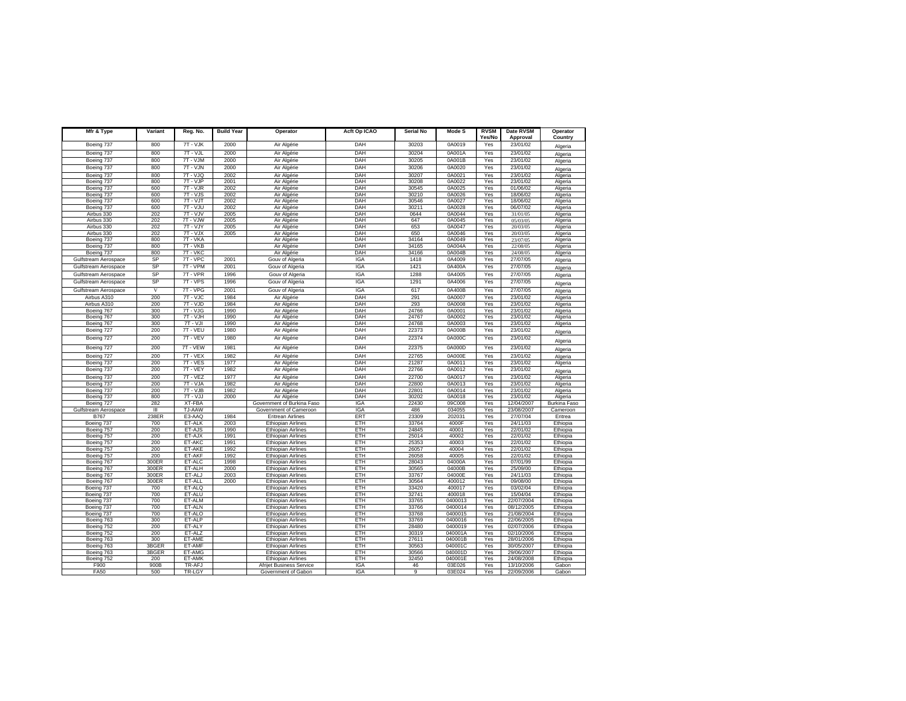| Mfr & Type               | Variant                 | Reg. No.             | <b>Build Year</b> | Operator                                               | Acft Op ICAO      | <b>Serial No</b> | Mode S            | <b>RVSM</b>   | Date RVSM                | Operator             |
|--------------------------|-------------------------|----------------------|-------------------|--------------------------------------------------------|-------------------|------------------|-------------------|---------------|--------------------------|----------------------|
| Boeing 737               | 800                     | 7T - VJK             | 2000              | Air Algérie                                            | DAH               | 30203            | 0A0019            | Yes/No<br>Yes | Approval<br>23/01/02     | Country              |
| Boeing 737               | 800                     | $7T - VJL$           | 2000              | Air Algérie                                            | <b>DAH</b>        | 30204            | 0A001A            | Yes           | 23/01/02                 | Algeria              |
| Boeing 737               | 800                     | 7T - VJM             | 2000              | Air Algérie                                            | DAH               | 30205            | 0A001B            | Yes           | 23/01/02                 | Algeria              |
| Boeing 737               | 800                     | $7T - VJN$           | 2000              | Air Algérie                                            | DAH               | 30206            | 0A0020            | Yes           | 23/01/02                 | Algeria              |
| Boeing 737               | 800                     | 7T - VJQ             | 2002              | Air Algérie                                            | DAH               | 30207            | 0A0021            | Yes           | 23/01/02                 | Algeria<br>Algeria   |
| Boeing 737               | 800                     | 7T - VJP             | 2001              | Air Algérie                                            | <b>DAH</b>        | 30208            | 0A0022            | Yes           | 23/01/02                 | Algeria              |
| Boeing 737               | 600                     | 7T - VJR             | 2002              | Air Algérie                                            | DAH               | 30545            | 0A0025            | Yes           | 01/06/02                 | Algeria              |
| Boeing 737               | 600                     | $7T - VJS$           | 2002              | Air Algérie                                            | DAH               | 30210            | 0A0026            | Yes           | 18/06/02                 | Algeria              |
| Boeing 737               | 600                     | 7T - VJT             | 2002              | Air Algérie                                            | <b>DAH</b>        | 30546            | 0A0027            | Yes           | 18/06/02                 | Algeria              |
| Boeing 737               | 600                     | 7T - VJU             | 2002              | Air Algérie                                            | DAH               | 30211            | 0A0028            | Yes           | 06/07/02                 | Algeria              |
| Airbus 330               | 202                     | 7T - VJV             | 2005              | Air Algérie                                            | DAH               | 0644             | 0A0044            | Yes           | 31/01/05                 | Algeria              |
| Airbus 330<br>Airbus 330 | 202<br>202              | 7T - VJW<br>7T - VJY | 2005<br>2005      | Air Algérie<br>Air Algérie                             | <b>DAH</b><br>DAH | 647<br>653       | 0A0045<br>0A0047  | Yes<br>Yes    | 05/03/05<br>20/03/05     | Algeria<br>Algeria   |
| Airbus 330               | 202                     | 7T - VJX             | 2005              | Air Algérie                                            | DAH               | 650              | 0A0046            | Yes           | 20/03/05                 | Algeria              |
| Boeing 737               | 800                     | 7T - VKA             |                   | Air Algérie                                            | DAH               | 34164            | 0A0049            | Yes           | 23/07/05                 | Algeria              |
| Boeing 737               | 800                     | 7T - VKB             |                   | Air Algérie                                            | DAH               | 34165            | 0A004A            | Yes           | 22/08/05                 | Algeria              |
| Boeing 737               | 800                     | 7T - VKC             |                   | Air Algérie                                            | DAH               | 34166            | 0A004B            | Yes           | 24/08/05                 | Algeria              |
| Gulfstream Aerospace     | SP                      | 7T - VPC             | 2001              | Gouv of Algeria                                        | <b>IGA</b>        | 1418             | 0A4009            | Yes           | 27/07/05                 | Algeria              |
| Gulfstream Aerospace     | SP                      | 7T - VPM             | 2001              | Gouv of Algeria                                        | <b>IGA</b>        | 1421             | 0A400A            | Yes           | 27/07/05                 | Algeria              |
| Gulfstream Aerospace     | SP                      | 7T - VPR             | 1996              | Gouv of Algeria                                        | <b>IGA</b>        | 1288             | 0A4005            | Yes           | 27/07/05                 | Algeria              |
| Gulfstream Aerospace     | SP                      | 7T - VPS             | 1996              | Gouv of Algeria                                        | <b>IGA</b>        | 1291             | 0A4006            | Yes           | 27/07/05                 | Algeria              |
| Gulfstream Aerospace     | $\overline{\mathbf{v}}$ | 7T - VPG             | 2001              | Gouv of Algeria                                        | <b>IGA</b>        | 617              | 0A400B            | Yes           | 27/07/05                 | Algeria              |
| Airbus A310              | 200                     | 7T - VJC             | 1984              | Air Algérie                                            | DAH               | 291              | 0A0007            | Yes           | 23/01/02                 | Algeria              |
| Airbus A310              | 200                     | $7T - VJD$           | 1984              | Air Algérie                                            | DAH               | 293              | 0A0008            | Yes           | 23/01/02                 | Algeria              |
| Boeing 767               | 300                     | 7T - VJG             | 1990              | Air Algérie                                            | DAH               | 24766            | 0A0001            | Yes           | 23/01/02                 | Algeria              |
| Boeing 767               | 300                     | 7T - VJH             | 1990              | Air Algérie                                            | DAH               | 24767            | 0A0002            | Yes           | 23/01/02                 | Algeria              |
| Boeing 767               | 300                     | $7T - VJI$           | 1990              | Air Algérie                                            | DAH               | 24768            | 0A0003            | Yes           | 23/01/02                 | Algeria              |
| Boeing 727               | 200                     | 7T - VEU             | 1980              | Air Algérie                                            | DAH               | 22373            | 0A000B            | Yes           | 23/01/02                 | Algeria              |
| Boeing 727               | 200                     | $7T - VEV$           | 1980              | Air Algérie                                            | DAH               | 22374            | 0A000C            | Yes           | 23/01/02                 | Algeria              |
| Boeing 727               | 200                     | 7T - VEW             | 1981              | Air Algérie                                            | DAH               | 22375            | 0A000D            | Yes           | 23/01/02                 | Algeria              |
| Boeing 727               | 200                     | 7T - VEX             | 1982              | Air Algérie                                            | DAH               | 22765            | 0A000E            | Yes           | 23/01/02                 | Algeria              |
| Boeing 737               | 200                     | $7T - VES$           | 1977              | Air Algérie                                            | DAH               | 21287            | 0A0011            | Yes           | 23/01/02                 | Algeria              |
| Boeing 737               | 200                     | 7T - VEY             | 1982              | Air Algérie                                            | <b>DAH</b>        | 22766            | 0A0012            | Yes           | 23/01/02                 | Algeria              |
| Boeing 737               | 200                     | $7T - VEZ$           | 1977              | Air Algérie                                            | DAH               | 22700            | 0A0017            | Yes           | 23/01/02                 | Algeria              |
| Boeing 737<br>Boeing 737 | 200<br>200              | 7T - VJA<br>7T - VJB | 1982<br>1982      | Air Algérie                                            | DAH<br><b>DAH</b> | 22800<br>22801   | 0A0013<br>0A0014  | Yes<br>Yes    | 23/01/02<br>23/01/02     | Algeria<br>Algeria   |
| Boeing 737               | 800                     | 7T - VJJ             | 2000              | Air Algérie<br>Air Algérie                             | DAH               | 30202            | 0A0018            | Yes           | 23/01/02                 | Algeria              |
| Boeing 727               | 282                     | XT-FBA               |                   | Government of Burkina Faso                             | <b>IGA</b>        | 22430            | 09C008            | Yes           | 12/04/2007               | <b>Burkina Faso</b>  |
| Gulfstream Aerospace     | Ш                       | TJ-AAW               |                   | Government of Cameroon                                 | <b>IGA</b>        | 486              | 034055            | Yes           | 23/08/2007               | Cameroon             |
| <b>B767</b>              | 238ER                   | E3-AAQ               | 1984              | <b>Eritrean Airlines</b>                               | ERT               | 23309            | 202031            | Yes           | 27/07/04                 | Eritrea              |
| Boeing 737               | 700                     | ET-ALK               | 2003              | <b>Ethiopian Airlines</b>                              | ETH               | 33764            | 4000F             | Yes           | 24/11/03                 | Ethiopia             |
| Boeing 757               | 200                     | ET-AJS               | 1990              | <b>Ethiopian Airlines</b>                              | ETH               | 24845            | 40001             | Yes           | 22/01/02                 | Ethiopia             |
| Boeing 757               | 200                     | ET-AJX               | 1991              | <b>Ethiopian Airlines</b>                              | ETH               | 25014            | 40002             | Yes           | 22/01/02                 | Ethiopia             |
| Boeing 757               | 200<br>200              | ET-AKC<br>ET-AKE     | 1991<br>1992      | <b>Ethiopian Airlines</b><br><b>Ethiopian Airlines</b> | ETH<br>ETH        | 25353<br>26057   | 40003<br>40004    | Yes<br>Yes    | 22/01/02<br>22/01/02     | Ethiopia             |
| Boeing 757<br>Boeing 757 | 200                     | ET-AKF               | 1992              | <b>Ethiopian Airlines</b>                              | ETH               | 26058            | 40005             | Yes           | 22/01/02                 | Ethiopia<br>Ethiopia |
| Boeing 767               | 300ER                   | ET-ALC               | 1998              | <b>Ethiopian Airlines</b>                              | ETH               | 28043            | 04000A            | Yes           | 07/01/99                 | Ethiopia             |
| Boeing 767               | 300ER                   | ET-ALH               | 2000              | <b>Ethiopian Airlines</b>                              | ETH               | 30565            | 04000B            | Yes           | 25/09/00                 | Ethiopia             |
| Boeing 767               | 300ER                   | ET-ALJ               | 2003              | <b>Ethiopian Airlines</b>                              | ETH               | 33767            | 04000E            | Yes           | 24/11/03                 | Ethiopia             |
| Boeing 767               | 300ER                   | ET-ALL               | 2000              | <b>Ethiopian Airlines</b>                              | ETH               | 30564            | 400012            | Yes           | 09/08/00                 | Ethiopia             |
| Boeing 737               | 700                     | ET-ALQ               |                   | <b>Ethiopian Airlines</b>                              | ETH               | 33420            | 400017            | Yes           | 03/02/04                 | Ethiopia             |
| Boeing 737               | 700<br>700              | ET-ALU<br>ET-ALM     |                   | <b>Ethiopian Airlines</b>                              | <b>ETH</b><br>ETH | 32741<br>33765   | 400018<br>0400013 | Yes           | 15/04/04<br>22/07/2004   | Ethiopia             |
| Boeing 737<br>Boeing 737 | 700                     | ET-ALN               |                   | <b>Ethiopian Airlines</b><br><b>Ethiopian Airlines</b> | ETH               | 33766            | 0400014           | Yes<br>Yes    | 08/12/2005               | Ethiopia<br>Ethiopia |
| Boeing 737               | 700                     | ET-ALO               |                   | <b>Ethiopian Airlines</b>                              | ETH               | 33768            | 0400015           | Yes           | 21/08/2004               | Ethiopia             |
| Boeing 763               | 300                     | ET-ALP               |                   | <b>Ethiopian Airlines</b>                              | ETH               | 33769            | 0400016           | Yes           | 22/06/2005               | Ethiopia             |
| Boeing 752               | 200                     | ET-ALY               |                   | <b>Ethiopian Airlines</b>                              | ETH               | 28480            | 0400019           | Yes           | 02/07/2006               | Ethiopia             |
| Boeing 752               | 200                     | ET-ALZ               |                   | <b>Ethiopian Airlines</b>                              | ETH               | 30319            | 040001A           | Yes           | 02/10/2006               | Ethiopia             |
| Boeing 763               | 300                     | ET-AME               |                   | <b>Ethiopian Airlines</b>                              | <b>ETH</b>        | 27611            | 040001B           | Yes           | 28/01/2006               | Ethiopia             |
| Boeing 763               | 3BGER                   | ET-AMF               |                   | <b>Ethiopian Airlines</b>                              | ETH               | 30563            | 040001C           | Yes           | 30/05/2007               | Ethiopia             |
| Boeing 763               | 3BGER                   | ET-AMG               |                   | <b>Ethiopian Airlines</b>                              | ETH               | 30566            | 040001D           | Yes           | 29/06/2007               | Ethiopia             |
| Boeing 752<br>F900       | 200<br>900B             | ET-AMK<br>TR-AFJ     |                   | <b>Ethiopian Airlines</b><br>Afrijet Business Service  | ETH<br><b>IGA</b> | 32450<br>46      | 040001E<br>03E026 | Yes<br>Yes    | 24/08/2008<br>13/10/2006 | Ethiopia<br>Gabon    |
| <b>FA50</b>              | 500                     | TR-LGY               |                   | Government of Gabon                                    | <b>IGA</b>        | 9                | 03E024            | Yes           | 22/09/2006               | Gabon                |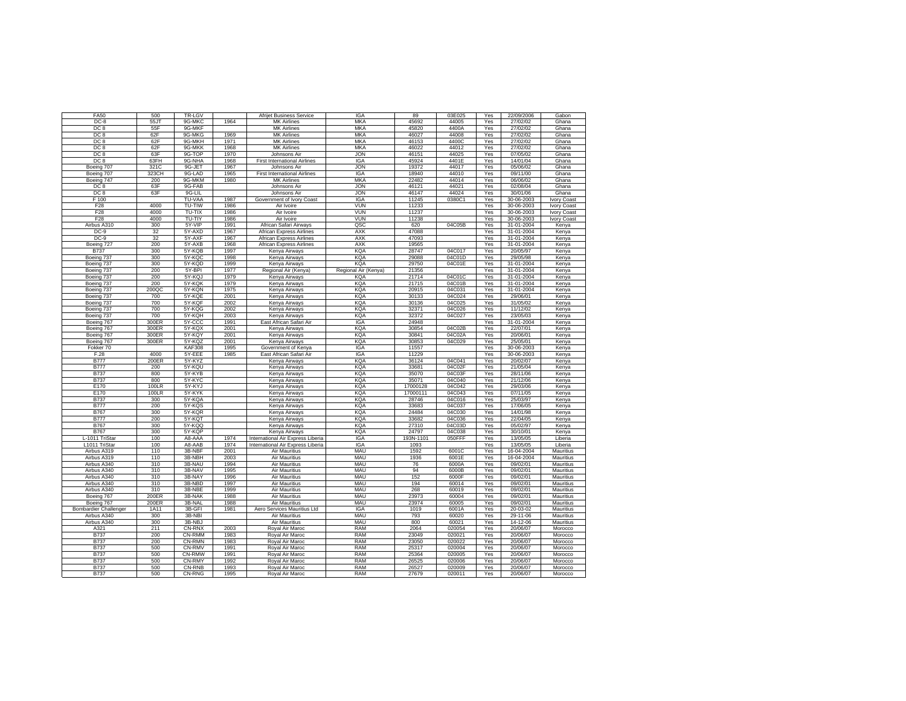| <b>FA50</b>                   | 500          | TR-LGV                  |              | Afrijet Business Service            | <b>IGA</b>               | 89                   | 03E025           | Yes        | 22/09/2006             | Gabon              |
|-------------------------------|--------------|-------------------------|--------------|-------------------------------------|--------------------------|----------------------|------------------|------------|------------------------|--------------------|
| $DC-8$                        | 55JT         | 9G-MKC                  | 1964         | <b>MK Airlines</b>                  | <b>MKA</b>               | 45692                | 44005            | Yes        | 27/02/02               | Ghana              |
| DC <sub>8</sub>               | 55F          | 9G-MKF                  |              | <b>MK Airlines</b>                  | <b>MKA</b>               | 45820                | 4400A            | Yes        | 27/02/02               | Ghana              |
| DC <sub>8</sub>               | 62F          | 9G-MKG                  | 1969         | <b>MK Airlines</b>                  | <b>MKA</b>               | 46027                | 44008            | Yes        | 27/02/02               | Ghana              |
| DC <sub>8</sub>               | 62F          | 9G-MKH                  | 1971         | <b>MK Airlines</b>                  | <b>MKA</b>               | 46153                | 4400C            | Yes        | 27/02/02               | Ghana              |
| DC <sub>8</sub>               | 62F          | 9G-MKK                  | 1968         | <b>MK Airlines</b>                  | <b>MKA</b>               | 46022                | 44012            | Yes        | 27/02/02               | Ghana              |
| DC <sub>8</sub>               | 63F          | 9G-TOP                  | 1970         | Johnsons Air                        | <b>JON</b>               | 46151                | 44025            | Yes        | 07/05/02               | Ghana              |
| DC <sub>8</sub>               | 63FH         | 9G-NHA                  | 1968         | <b>First International Airlines</b> | <b>IGA</b>               | 45924                | 4401E            | Yes        | 14/01/04               | Ghana              |
| Boeing 707                    | 321C         | 9G-JET                  | 1967         | Johnsons Air                        | <b>JON</b>               | 19372                | 44017            | Yes        | 05/06/02               | Ghana              |
| Boeing 707                    | 323CH        | 9G-LAD                  | 1965<br>1980 | <b>First International Airlines</b> | <b>IGA</b><br><b>MKA</b> | 18940                | 44010<br>44014   | Yes        | 09/11/00               | Ghana              |
| Boeing 747<br>DC <sub>8</sub> | 200<br>63F   | 9G-MKM<br>9G-FAB        |              | <b>MK Airlines</b><br>Johnsons Air  | <b>JON</b>               | 22482<br>46121       | 44021            | Yes<br>Yes | 06/06/02<br>02/08/04   | Ghana<br>Ghana     |
| DC <sub>8</sub>               | 63F          | 9G-LIL                  |              | Johnsons Air                        | <b>JON</b>               | 46147                | 44024            | Yes        | 30/01/06               | Ghana              |
| F 100                         |              | TU-VAA                  | 1987         | Government of Ivory Coast           | <b>IGA</b>               | 11245                | 0380C1           | Yes        | 30-06-2003             | <b>Ivory Coast</b> |
| F <sub>28</sub>               | 4000         | TU-TIW                  | 1986         | Air Ivoire                          | <b>VUN</b>               | 11233                |                  | Yes        | 30-06-2003             | Ivory Coast        |
| F <sub>28</sub>               | 4000         | TU-TIX                  | 1986         | Air Ivoire                          | <b>VUN</b>               | 11237                |                  | Yes        | 30-06-2003             | Ivory Coast        |
| F <sub>28</sub>               | 4000         | TU-TIY                  | 1986         | Air Ivoire                          | <b>VUN</b>               | 11238                |                  | Yes        | 30-06-2003             | Ivory Coast        |
| Airbus A310                   | 300          | 5Y-VIP                  | 1991         | African Safari Airways              | QSC                      | 620                  | 04C05B           | Yes        | 31-01-2004             | Kenya              |
| $DC-9$                        | 32           | 5Y-AXD                  | 1967         | <b>African Express Airlines</b>     | <b>AXK</b>               | 47088                |                  | Yes        | 31-01-2004             | Kenya              |
| $DC-9$                        | 32           | 5Y-AXF                  | 1967         | African Express Airlines            | <b>AXK</b>               | 47093                |                  | Yes        | 31-01-2004             | Kenya              |
| Boeing 727                    | 200          | 5Y-AXB                  | 1968         | African Express Airlines            | <b>AXK</b>               | 19565                |                  | Yes        | 31-01-2004             | Kenya              |
| <b>B737</b>                   | 300          | 5Y-KQB                  | 1997         | Kenya Airways                       | <b>KQA</b>               | 28747                | 04C017           | Yes        | 20/05/97               | Kenya              |
| Boeing 737                    | 300          | 5Y-KQC                  | 1998         | Kenya Airways                       | <b>KQA</b>               | 29088                | 04C01D           | Yes        | 29/05/98               | Kenya              |
| Boeing 737                    | 300          | 5Y-KQD                  | 1999         | Kenya Airways                       | KQA                      | 29750                | 04C01E           | Yes        | 31-01-2004             | Kenya              |
| Boeing 737                    | 200          | 5Y-BPI                  | 1977         | Regional Air (Kenya)                | Regional Air (Kenya)     | 21356                |                  | Yes        | 31-01-2004             | Kenya              |
| Boeing 737                    | 200          | 5Y-KQJ                  | 1979         | Kenya Airways                       | KQA                      | 21714                | 04C01C           | Yes        | 31-01-2004             | Kenya              |
| Boeing 737                    | 200          | 5Y-KQK                  | 1979         | Kenya Airways                       | KQA                      | 21715                | 04C01B           | Yes        | 31-01-2004             | Kenya              |
| Boeing 737                    | 200QC<br>700 | 5Y-KQN<br>5Y-KQE        | 1975<br>2001 | Kenya Airways<br>Kenya Airways      | KQA<br><b>KQA</b>        | 20915<br>30133       | 04C031<br>04C024 | Yes<br>Yes | 31-01-2004<br>29/06/01 | Kenya<br>Kenya     |
| Boeing 737<br>Boeing 737      | 700          | 5Y-KQF                  | 2002         | Kenya Airways                       | <b>KQA</b>               | 30136                | 04C025           | Yes        | 31/05/02               | Kenya              |
| Boeing 737                    | 700          | 5Y-KQG                  | 2002         | Kenya Airways                       | <b>KQA</b>               | 32371                | 04C026           | Yes        | 11/12/02               | Kenya              |
| Boeing 737                    | 700          | 5Y-KQH                  | 2003         | Kenya Airways                       | <b>KQA</b>               | 32372                | 04C027           | Yes        | 23/05/03               | Kenya              |
| Boeing 767                    | 300ER        | 5Y-CCC                  | 1991         | East African Safari Air             | <b>IGA</b>               | 24948                |                  | Yes        | 31-01-2004             | Kenya              |
| Boeing 767                    | 300ER        | 5Y-KQX                  | 2001         | Kenya Airways                       | KQA                      | 30854                | 04C02B           | Yes        | 22/07/01               | Kenya              |
| Boeing 767                    | 300ER        | 5Y-KQY                  | 2001         | Kenya Airways                       | KQA                      | 30841                | 04C02A           | Yes        | 20/06/01               | Kenya              |
| Boeing 767                    | 300ER        | 5Y-KQZ                  | 2001         | Kenya Airways                       | KQA                      | 30853                | 04C029           | Yes        | 25/05/01               | Kenya              |
| Fokker 70                     |              | <b>KAF308</b>           | 1995         | Government of Kenya                 | <b>IGA</b>               | 11557                |                  | Yes        | 30-06-2003             | Kenya              |
| F.28                          | 4000         | 5Y-EEE                  | 1985         | East African Safari Air             | <b>IGA</b>               | 11229                |                  | Yes        | 30-06-2003             | Kenya              |
| <b>B777</b>                   | 200ER        | 5Y-KYZ                  |              | Kenya Airways                       | KQA                      | 36124                | 04C041           | Yes        | 20/02/07               | Kenya              |
| <b>B777</b>                   | 200          | 5Y-KQU                  |              | Kenya Airways                       | <b>KQA</b>               | 33681                | 04C02F           | Yes        | 21/05/04               | Kenya              |
| <b>B737</b>                   | 800          | 5Y-KYB                  |              | Kenya Airways                       | KQA                      | 35070                | 04C03F           | Yes        | 28/11/06               | Kenya              |
| <b>B737</b><br>E170           | 800<br>100LR | 5Y-KYC<br>5Y-KYJ        |              | Kenya Airways                       | <b>KQA</b><br><b>KQA</b> | 35071                | 04C040<br>04C042 | Yes        | 21/12/06<br>29/03/06   | Kenya              |
| E170                          | 100LR        | 5Y-KYK                  |              | Kenya Airways<br>Kenya Airways      | <b>KQA</b>               | 17000128<br>17000111 | 04C043           | Yes<br>Yes | 07/11/05               | Kenya<br>Kenya     |
| <b>B737</b>                   | 300          | 5Y-KQA                  |              | Kenya Airways                       | KQA                      | 28746                | 04C016           | Yes        | 25/03/97               | Kenya              |
| <b>B777</b>                   | 200          | 5Y-KQS                  |              | Kenya Airways                       | <b>KQA</b>               | 33683                | 04C037           | Yes        | 17/06/05               | Kenya              |
| <b>B767</b>                   | 300          | 5Y-KQR                  |              | Kenya Airways                       | <b>KQA</b>               | 24484                | 04C030           | Yes        | 14/01/98               | Kenya              |
| <b>B777</b>                   | 200          | 5Y-KQT                  |              | Kenya Airways                       | <b>KQA</b>               | 33682                | 04C036           | Yes        | 22/04/05               | Kenya              |
| <b>B767</b>                   | 300          | 5Y-KQQ                  |              | Kenya Airways                       | <b>KQA</b>               | 27310                | 04C03D           | Yes        | 05/02/97               | Kenya              |
| <b>B767</b>                   | 300          | 5Y-KQP                  |              | Kenya Airways                       | <b>KQA</b>               | 24797                | 04C038           | Yes        | 30/10/01               | Kenya              |
| L-1011 TriStar                | 100          | A8-AAA                  | 1974         | International Air Express Liberia   | IGA                      | 193N-1101            | 050FFF           | Yes        | 13/05/05               | Liberia            |
| L1011 TriStar                 |              |                         |              |                                     |                          |                      |                  |            |                        |                    |
|                               | 100          | A8-AAB                  | 1974         | International Air Express Liberia   | IGA                      | 1093                 |                  | Yes        | 13/05/05               | Liberia            |
| Airbus A319                   | 110          | 3B-NBF                  | 2001         | Air Mauritius                       | MAU                      | 1592                 | 6001C            | Yes        | 16-04-2004             | Mauritius          |
| Airbus A319                   | 110          | 3B-NBH                  | 2003         | Air Mauritius                       | MAU                      | 1936                 | 6001E            | Yes        | 16-04-2004             | Mauritius          |
| Airbus A340                   | 310          | 3B-NAU                  | 1994         | Air Mauritius                       | MAU                      | 76                   | 6000A            | Yes        | 09/02/01               | Mauritius          |
| Airbus A340                   | 310          | 3B-NAV                  | 1995         | Air Mauritius                       | MAU                      | 94                   | 6000B            | Yes        | 09/02/01               | Mauritius          |
| Airbus A340                   | 310          | 3B-NAY                  | 1996         | <b>Air Mauritius</b>                | MAU                      | 152                  | 6000F            | Yes        | 09/02/01               | Mauritius          |
| Airbus A340                   | 310          | 3B-NBD                  | 1997         | Air Mauritius                       | MAU                      | 194                  | 60014            | Yes        | 09/02/01               | Mauritius          |
| Airbus A340                   | 310          | 3B-NBE                  | 1999         | <b>Air Mauritius</b>                | MAU                      | 268                  | 60019            | Yes        | 09/02/01               | Mauritius          |
| Boeing 767                    | 200ER        | 3B-NAK                  | 1988         | Air Mauritius                       | MAU                      | 23973                | 60004            | Yes        | 09/02/01               | Mauritius          |
| Boeing 767                    | 200ER        | 3B-NAL                  | 1988         | Air Mauritius                       | MAU                      | 23974                | 60005            | Yes        | 09/02/01               | Mauritius          |
| <b>Bombardier Challenger</b>  | 1A11         | 3B-GFI                  | 1981         | Aero Services Mauritius Ltd         | <b>IGA</b>               | 1019                 | 6001A            | Yes        | 20-03-02               | Mauritius          |
| Airbus A340                   | 300          | 3B-NBI                  |              | Air Mauritius                       | MAU                      | 793                  | 60020            | Yes        | $29 - 11 - 06$         | Mauritius          |
| Airbus A340                   | 300          | 3B-NBJ                  |              | Air Mauritius                       | MAU                      | 800                  | 60021            | Yes        | 14-12-06               | Mauritius          |
| A321<br><b>B737</b>           | 211<br>200   | CN-RNX<br>CN-RMM        | 2003<br>1983 | Roval Air Maroc                     | RAM<br><b>RAM</b>        | 2064<br>23049        | 020054<br>020021 | Yes<br>Yes | 20/06/07<br>20/06/07   | Morocco            |
| <b>B737</b>                   | 200          | CN-RMN                  | 1983         | Royal Air Maroc<br>Royal Air Maroc  | <b>RAM</b>               | 23050                | 020022           | Yes        | 20/06/07               | Morocco<br>Morocco |
| <b>B737</b>                   | 500          | CN-RMV                  | 1991         | Royal Air Maroc                     | <b>RAM</b>               | 25317                | 020004           | Yes        | 20/06/07               | Morocco            |
| <b>B737</b>                   | 500          | CN-RMW                  | 1991         | Royal Air Maroc                     | <b>RAM</b>               | 25364                | 020005           | Yes        | 20/06/07               | Morocco            |
| <b>B737</b>                   | 500          | CN-RMY                  | 1992         | Royal Air Maroc                     | RAM                      | 26525                | 020006           | Yes        | 20/06/07               | Morocco            |
| <b>B737</b><br><b>B737</b>    | 500<br>500   | CN-RNB<br><b>CN-RNG</b> | 1993<br>1995 | Royal Air Maroc<br>Royal Air Maroc  | <b>RAM</b><br><b>RAM</b> | 26527<br>27679       | 020009<br>020011 | Yes<br>Yes | 20/06/07<br>20/06/07   | Morocco<br>Morocco |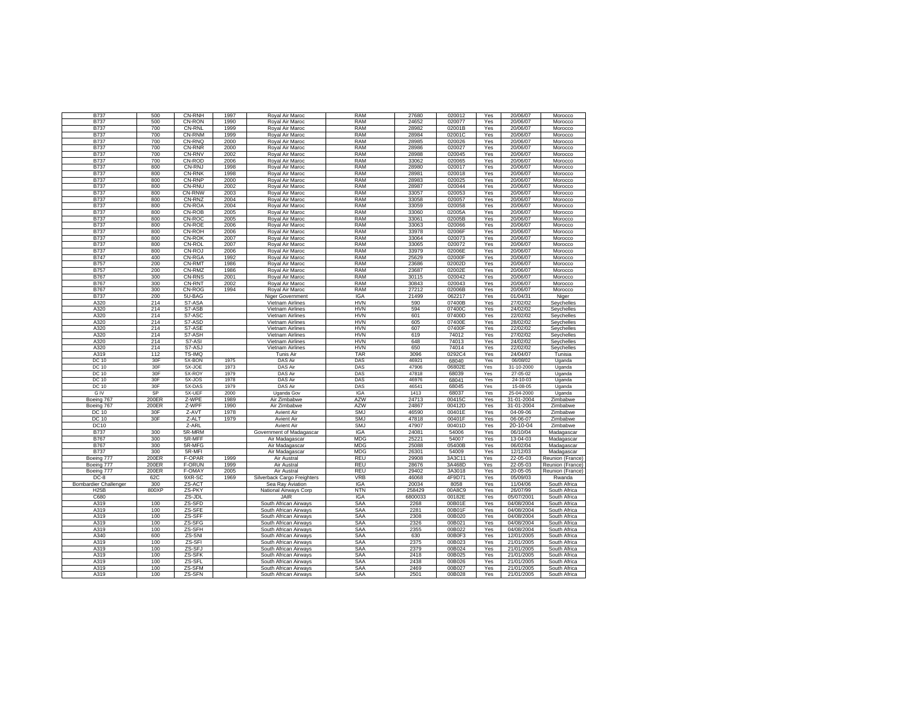| B737                         | 500   | CN-RNH        | 1997 | Royal Air Maroc             | RAM        | 27680   | 020012 | Yes | 20/06/07   | Morocco          |
|------------------------------|-------|---------------|------|-----------------------------|------------|---------|--------|-----|------------|------------------|
| <b>B737</b>                  | 500   | CN-RON        | 1990 | Royal Air Maroc             | <b>RAM</b> | 24652   | 020077 | Yes | 20/06/07   | Morocco          |
| <b>B737</b>                  | 700   | <b>CN-RNL</b> | 1999 | Royal Air Maroc             | <b>RAM</b> | 28982   | 02001B | Yes | 20/06/07   | Morocco          |
|                              | 700   | CN-RNM        | 1999 |                             | <b>RAM</b> |         |        |     | 20/06/07   |                  |
| B737                         |       |               |      | Royal Air Maroc             |            | 28984   | 02001C | Yes |            | Morocco          |
| B737                         | 700   | CN-RNQ        | 2000 | Royal Air Maroc             | <b>RAM</b> | 28985   | 020026 | Yes | 20/06/07   | Morocco          |
| B737                         | 700   | CN-RNR        | 2000 | Royal Air Maroc             | <b>RAM</b> | 28986   | 020027 | Yes | 20/06/07   | Morocco          |
| <b>B737</b>                  | 700   | CN-RNV        | 2002 | Royal Air Maroc             | <b>RAM</b> | 28988   | 020045 | Yes | 20/06/07   | Morocco          |
| <b>B737</b>                  | 700   | CN-ROD        | 2006 | Royal Air Maroc             | <b>RAM</b> | 33062   | 020065 | Yes | 20/06/07   | Morocco          |
| <b>B737</b>                  | 800   | CN-RNJ        | 1998 | Royal Air Maroc             | <b>RAM</b> | 28980   | 020017 | Yes | 20/06/07   | Morocco          |
| <b>B737</b>                  | 800   | <b>CN-RNK</b> | 1998 | Royal Air Maroc             | <b>RAM</b> | 28981   | 020018 | Yes | 20/06/07   | Morocco          |
| <b>B737</b>                  | 800   | CN-RNP        | 2000 | Royal Air Maroc             | <b>RAM</b> | 28983   | 020025 | Yes | 20/06/07   | Morocco          |
| B737                         | 800   | CN-RNU        | 2002 | Royal Air Maroc             | <b>RAM</b> | 28987   | 020044 | Yes | 20/06/07   | Morocco          |
| B737                         | 800   | CN-RNW        | 2003 | Royal Air Maroc             | <b>RAM</b> | 33057   | 020053 | Yes | 20/06/07   | Morocco          |
| B737                         | 800   | CN-RNZ        | 2004 | Royal Air Maroc             | <b>RAM</b> | 33058   | 020057 | Yes | 20/06/07   | Morocco          |
| B737                         | 800   | CN-ROA        | 2004 | Royal Air Maroc             | <b>RAM</b> | 33059   | 020058 | Yes | 20/06/07   | Morocco          |
| <b>B737</b>                  | 800   | CN-ROB        | 2005 | Royal Air Maroc             | <b>RAM</b> | 33060   | 02005A | Yes | 20/06/07   | Morocco          |
| B737                         | 800   | CN-ROC        | 2005 | Royal Air Maroc             | <b>RAM</b> | 33061   | 02005B | Yes | 20/06/07   | Morocco          |
| <b>B737</b>                  | 800   | CN-ROE        | 2006 | Royal Air Maroc             | <b>RAM</b> | 33063   | 020066 | Yes | 20/06/07   | Morocco          |
| <b>B737</b>                  | 800   | CN-ROH        | 2006 | Royal Air Maroc             | <b>RAM</b> | 33978   | 02006F | Yes | 20/06/07   |                  |
|                              |       |               |      |                             |            |         |        |     |            | Morocco          |
| <b>B737</b>                  | 800   | <b>CN-ROK</b> | 2007 | Royal Air Maroc             | <b>RAM</b> | 33064   | 020073 | Yes | 20/06/07   | Morocco          |
| <b>B737</b>                  | 800   | CN-ROL        | 2007 | Royal Air Maroc             | <b>RAM</b> | 33065   | 020072 | Yes | 20/06/07   | Morocco          |
| B737                         | 800   | CN-ROJ        | 2006 | Royal Air Maroc             | <b>RAM</b> | 33979   | 02006E | Yes | 20/06/07   | Morocco          |
| <b>B747</b>                  | 400   | CN-RGA        | 1992 | Royal Air Maroc             | <b>RAM</b> | 25629   | 02000F | Yes | 20/06/07   | Morocco          |
| B757                         | 200   | CN-RMT        | 1986 | Royal Air Maroc             | <b>RAM</b> | 23686   | 02002D | Yes | 20/06/07   | Morocco          |
| B757                         | 200   | CN-RMZ        | 1986 | Royal Air Maroc             | <b>RAM</b> | 23687   | 02002E | Yes | 20/06/07   | Morocco          |
| B767                         | 300   | CN-RNS        | 2001 | Royal Air Maroc             | RAM        | 30115   | 020042 | Yes | 20/06/07   | Morocco          |
| <b>B767</b>                  | 300   | CN-RNT        | 2002 | Royal Air Maroc             | <b>RAM</b> | 30843   | 020043 | Yes | 20/06/07   | Morocco          |
| <b>B767</b>                  | 300   | CN-ROG        | 1994 | Royal Air Maroc             | <b>RAM</b> | 27212   | 02006B | Yes | 20/06/07   | Morocco          |
| <b>B737</b>                  | 200   | 5U-BAG        |      | Niger Government            | <b>IGA</b> | 21499   | 062217 | Yes | 01/04/31   | Niger            |
| A320                         | 214   | S7-ASA        |      | Vietnam Airlines            | <b>HVN</b> | 590     | 07400B | Yes | 27/02/02   | Seychelles       |
| A320                         | 214   | S7-ASB        |      | Vietnam Airlines            | <b>HVN</b> | 594     | 07400C | Yes | 24/02/02   | Seychelles       |
| A320                         | 214   | S7-ASC        |      | Vietnam Airlines            | <b>HVN</b> | 601     | 07400D | Yes | 22/02/02   | Seychelles       |
|                              |       |               |      |                             |            |         |        |     |            |                  |
| A320                         | 214   | S7-ASD        |      | Vietnam Airlines            | <b>HVN</b> | 605     | 07400E | Yes | 28/02/02   | Seychelles       |
| A320                         | 214   | S7-ASE        |      | Vietnam Airlines            | <b>HVN</b> | 607     | 07400F | Yes | 22/02/02   | Seychelles       |
| A320                         | 214   | S7-ASH        |      | Vietnam Airlines            | <b>HVN</b> | 619     | 74012  | Yes | 27/02/02   | Seychelles       |
| A320                         | 214   | S7-ASI        |      | Vietnam Airlines            | <b>HVN</b> | 648     | 74013  | Yes | 24/02/02   | Seychelles       |
| A320                         | 214   | S7-ASJ        |      | Vietnam Airlines            | <b>HVN</b> | 650     | 74014  | Yes | 22/02/02   | Seychelles       |
| A319                         | 112   | TS-IMQ        |      | Tunis Air                   | <b>TAR</b> | 3096    | 0292C4 | Yes | 24/04/07   | Tunisia          |
| <b>DC 10</b>                 | 30F   | 5X-BON        | 1975 | <b>DAS Air</b>              | DAS        | 46921   | 68040  | Yes | 06/08/02   | Uganda           |
| DC 10                        | 30F   | 5X-JOE        | 1973 | DAS Air                     | DAS        | 47906   | 06802E | Yes | 31-10-2000 | Uganda           |
| <b>DC 10</b>                 | 30F   | 5X-ROY        | 1979 | <b>DAS Air</b>              | DAS        | 47818   | 68039  | Yes | 27-05-02   | Uganda           |
| DC 10                        | 30F   | 5X-JOS        | 1978 | DAS Air                     | DAS        | 46976   | 68041  | Yes | 24-10-03   | Uganda           |
| <b>DC 10</b>                 | 30F   | 5X-DAS        | 1979 | <b>DAS Air</b>              | DAS        | 46541   | 68045  | Yes | 15-08-05   | Uganda           |
| <b>GIV</b>                   | SP    | 5X-UEF        | 2000 | Uganda Gov                  | <b>IGA</b> | 1413    | 68037  | Yes | 25-04-2000 | Uganda           |
| Boeing 767                   | 200ER | Z-WPE         | 1989 | Air Zimbabwe                | <b>AZW</b> | 24713   | 00415C | Yes | 31-01-2004 | Zimbabwe         |
| Boeing 767                   | 200ER | Z-WPF         | 1990 | Air Zimbabwe                | <b>AZW</b> | 24867   | 00412D | Yes | 31-01-2004 | Zimbabwe         |
| DC 10                        | 30F   | Z-AVT         | 1978 | Avient Air                  | <b>SMJ</b> | 46590   | 00401E | Yes | 04-09-06   | Zimbabwe         |
|                              |       |               | 1979 |                             |            |         |        |     |            |                  |
| DC 10                        | 30F   | Z-ALT         |      | Avient Air                  | <b>SMJ</b> | 47818   | 00401F | Yes | 06-06-07   | Zimbabwe         |
| <b>DC10</b>                  |       | Z-ARL         |      | Avient Air                  | <b>SMJ</b> | 47907   | 00401D | Yes | 20-10-04   | Zimbabwe         |
| <b>B737</b>                  | 300   | 5R-MRM        |      | Government of Madagascar    | <b>IGA</b> | 24081   | 54006  | Yes | 06/10/04   | Madagascar       |
| <b>B767</b>                  | 300   | 5R-MFF        |      | Air Madagascar              | <b>MDG</b> | 25221   | 54007  | Yes | 13-04-03   | Madagascar       |
| <b>B767</b>                  | 300   | 5R-MFG        |      | Air Madagascar              | MDG        | 25088   | 05400B | Yes | 06/02/04   | Madagascar       |
| B737                         | 300   | 5R-MFI        |      | Air Madagascar              | MDG        | 26301   | 54009  | Yes | 12/12/03   | Madagascar       |
| Boeing 777                   | 200ER | F-OPAR        | 1999 | Air Austral                 | <b>REU</b> | 29908   | 3A3C11 | Yes | 22-05-03   | Reunion (France) |
| Boeing 777                   | 200ER | <b>F-ORUN</b> | 1999 | Air Austral                 | <b>REU</b> | 28676   | 3A468D | Yes | 22-05-03   | Reunion (France) |
| Boeing 777                   | 200ER | F-OMAY        | 2005 | Air Austral                 | <b>REU</b> | 29402   | 3A3018 | Yes | 20-05-05   | Reunion (France) |
| $DC-8$                       | 62C   | 9XR-SC        | 1969 | Silverback Cargo Freighters | <b>VRB</b> | 46068   | 4F9D71 | Yes | 05/09/03   | Rwanda           |
| <b>Bombardier Challenger</b> | 300   | ZS-ACT        |      | Sea Ray Aviation            | <b>IGA</b> | 20034   | 8058   | Yes | 11/04/06   | South Africa     |
| <b>H25B</b>                  | 800XP | ZS-PKY        |      | National Airways Corp       | <b>NTN</b> | 258429  | 00A8C9 | Yes | 26/07/99   | South Africa     |
| C680                         |       | ZS-JDL        |      | JAIR                        | IGA        | 6800033 | 00182E | Yes | 05/07/2001 | South Africa     |
| A319                         |       |               |      |                             |            |         |        |     | 04/08/2004 |                  |
|                              | 100   | ZS-SFD        |      | South African Airways       | SAA        | 2268    | 00B01E | Yes |            | South Africa     |
| A319                         | 100   | ZS-SFE        |      | South African Airways       | SAA        | 2281    | 00B01F | Yes | 04/08/2004 | South Africa     |
| A319                         | 100   | ZS-SFF        |      | South African Airways       | SAA        | 2308    | 00B020 | Yes | 04/08/2004 | South Africa     |
| A319                         | 100   | ZS-SFG        |      | South African Airways       | SAA        | 2326    | 00B021 | Yes | 04/08/2004 | South Africa     |
| A319                         | 100   | ZS-SFH        |      | South African Airways       | SAA        | 2355    | 00B022 | Yes | 04/08/2004 | South Africa     |
| A340                         | 600   | ZS-SNI        |      | South African Airways       | SAA        | 630     | 00B0F3 | Yes | 12/01/2005 | South Africa     |
| A319                         | 100   | ZS-SFI        |      | South African Airways       | SAA        | 2375    | 00B023 | Yes | 21/01/2005 | South Africa     |
| A319                         | 100   | ZS-SFJ        |      | South African Airways       | SAA        | 2379    | 00B024 | Yes | 21/01/2005 | South Africa     |
| A319                         | 100   | ZS-SFK        |      | South African Airways       | SAA        | 2418    | 00B025 | Yes | 21/01/2005 | South Africa     |
| A319                         | 100   | ZS-SFL        |      | South African Airways       | SAA        | 2438    | 00B026 | Yes | 21/01/2005 | South Africa     |
| A319                         | 100   | ZS-SFM        |      | South African Airways       | SAA        | 2469    | 00B027 | Yes | 21/01/2005 | South Africa     |
| A319                         | 100   | ZS-SFN        |      | South African Airways       | SAA        | 2501    | 00B028 | Yes | 21/01/2005 | South Africa     |
|                              |       |               |      |                             |            |         |        |     |            |                  |